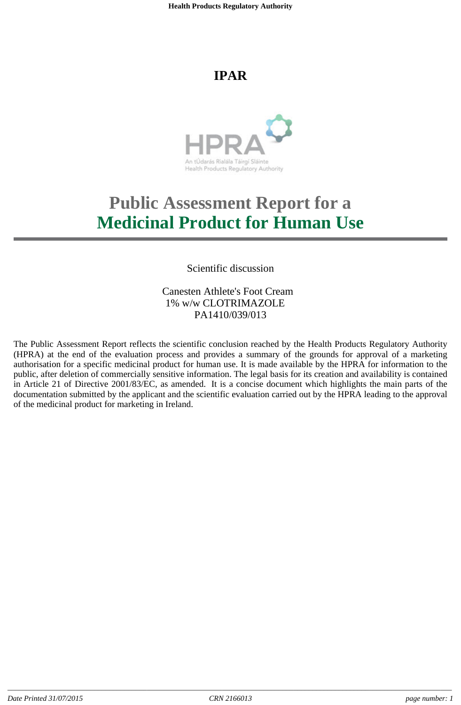# **IPAR**



# **Public Assessment Report for a Medicinal Product for Human Use**

Scientific discussion

Canesten Athlete's Foot Cream 1% w/w CLOTRIMAZOLE PA1410/039/013

The Public Assessment Report reflects the scientific conclusion reached by the Health Products Regulatory Authority (HPRA) at the end of the evaluation process and provides a summary of the grounds for approval of a marketing authorisation for a specific medicinal product for human use. It is made available by the HPRA for information to the public, after deletion of commercially sensitive information. The legal basis for its creation and availability is contained in Article 21 of Directive 2001/83/EC, as amended. It is a concise document which highlights the main parts of the documentation submitted by the applicant and the scientific evaluation carried out by the HPRA leading to the approval of the medicinal product for marketing in Ireland.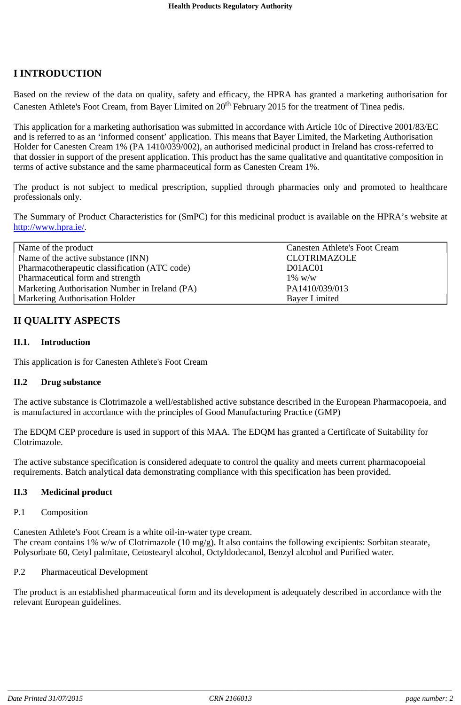# **I INTRODUCTION**

Based on the review of the data on quality, safety and efficacy, the HPRA has granted a marketing authorisation for Canesten Athlete's Foot Cream, from Bayer Limited on 20<sup>th</sup> February 2015 for the treatment of Tinea pedis.

This application for a marketing authorisation was submitted in accordance with Article 10c of Directive 2001/83/EC and is referred to as an 'informed consent' application. This means that Bayer Limited, the Marketing Authorisation Holder for Canesten Cream 1% (PA 1410/039/002), an authorised medicinal product in Ireland has cross-referred to that dossier in support of the present application. This product has the same qualitative and quantitative composition in terms of active substance and the same pharmaceutical form as Canesten Cream 1%.

The product is not subject to medical prescription, supplied through pharmacies only and promoted to healthcare professionals only.

The Summary of Product Characteristics for (SmPC) for this medicinal product is available on the HPRA's website at http://www.hpra.ie/.

| Name of the product                            | <b>Canesten Athlete's Foot Cream</b> |  |
|------------------------------------------------|--------------------------------------|--|
| Name of the active substance (INN)             | <b>CLOTRIMAZOLE</b>                  |  |
| Pharmacotherapeutic classification (ATC code)  | D01AC01                              |  |
| Pharmaceutical form and strength               | $1\%~\text{W}/\text{W}$              |  |
| Marketing Authorisation Number in Ireland (PA) | PA1410/039/013                       |  |
| <b>Marketing Authorisation Holder</b>          | <b>Bayer Limited</b>                 |  |

# **II QUALITY ASPECTS**

# **II.1. Introduction**

This application is for Canesten Athlete's Foot Cream

#### **II.2 Drug substance**

The active substance is Clotrimazole a well/established active substance described in the European Pharmacopoeia, and is manufactured in accordance with the principles of Good Manufacturing Practice (GMP)

The EDQM CEP procedure is used in support of this MAA. The EDQM has granted a Certificate of Suitability for Clotrimazole.

The active substance specification is considered adequate to control the quality and meets current pharmacopoeial requirements. Batch analytical data demonstrating compliance with this specification has been provided.

#### **II.3 Medicinal product**

#### P.1 Composition

Canesten Athlete's Foot Cream is a white oil-in-water type cream. The cream contains 1% w/w of Clotrimazole (10 mg/g). It also contains the following excipients: Sorbitan stearate, Polysorbate 60, Cetyl palmitate, Cetostearyl alcohol, Octyldodecanol, Benzyl alcohol and Purified water.

## P.2 Pharmaceutical Development

The product is an established pharmaceutical form and its development is adequately described in accordance with the relevant European guidelines.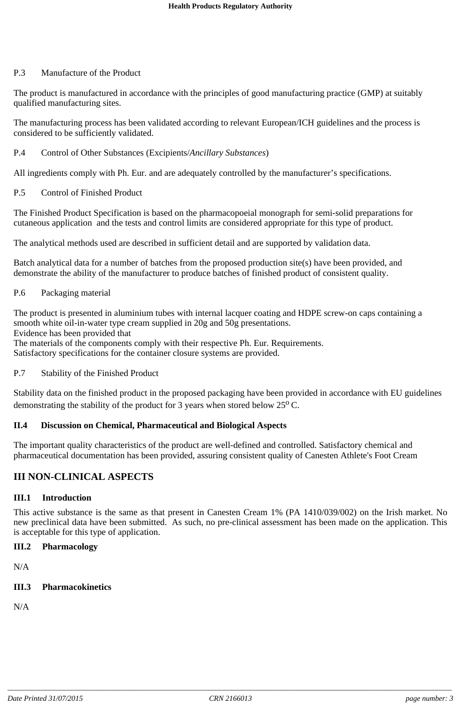## P.3 Manufacture of the Product

The product is manufactured in accordance with the principles of good manufacturing practice (GMP) at suitably qualified manufacturing sites.

The manufacturing process has been validated according to relevant European/ICH guidelines and the process is considered to be sufficiently validated.

# P.4 Control of Other Substances (Excipients/*Ancillary Substances*)

All ingredients comply with Ph. Eur. and are adequately controlled by the manufacturer's specifications.

# P.5 Control of Finished Product

The Finished Product Specification is based on the pharmacopoeial monograph for semi-solid preparations for cutaneous application and the tests and control limits are considered appropriate for this type of product.

The analytical methods used are described in sufficient detail and are supported by validation data.

Batch analytical data for a number of batches from the proposed production site(s) have been provided, and demonstrate the ability of the manufacturer to produce batches of finished product of consistent quality.

# P.6 Packaging material

The product is presented in aluminium tubes with internal lacquer coating and HDPE screw-on caps containing a smooth white oil-in-water type cream supplied in 20g and 50g presentations. Evidence has been provided that

The materials of the components comply with their respective Ph. Eur. Requirements.

Satisfactory specifications for the container closure systems are provided.

#### P.7 Stability of the Finished Product

Stability data on the finished product in the proposed packaging have been provided in accordance with EU guidelines demonstrating the stability of the product for 3 years when stored below  $25^{\circ}$  C.

# **II.4 Discussion on Chemical, Pharmaceutical and Biological Aspects**

The important quality characteristics of the product are well-defined and controlled. Satisfactory chemical and pharmaceutical documentation has been provided, assuring consistent quality of Canesten Athlete's Foot Cream

# **III NON-CLINICAL ASPECTS**

#### **III.1 Introduction**

This active substance is the same as that present in Canesten Cream 1% (PA 1410/039/002) on the Irish market. No new preclinical data have been submitted. As such, no pre-clinical assessment has been made on the application. This is acceptable for this type of application.

# **III.2 Pharmacology**

N/A

# **III.3 Pharmacokinetics**

N/A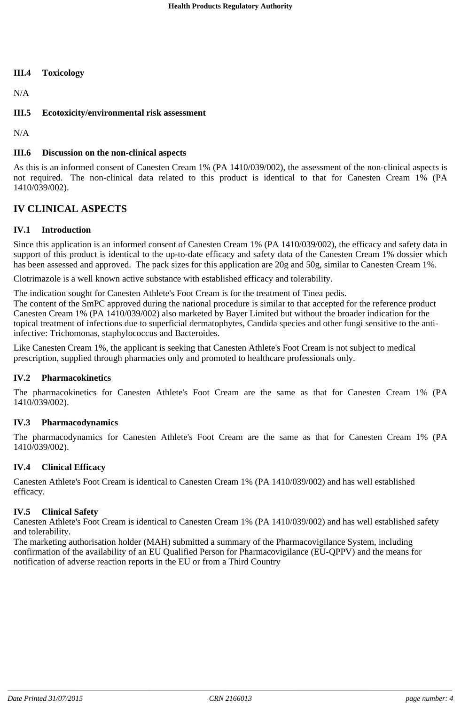## **III.4 Toxicology**

N/A

# **III.5 Ecotoxicity/environmental risk assessment**

N/A

# **III.6 Discussion on the non-clinical aspects**

As this is an informed consent of Canesten Cream 1% (PA 1410/039/002), the assessment of the non-clinical aspects is not required. The non-clinical data related to this product is identical to that for Canesten Cream 1% (PA 1410/039/002).

# **IV CLINICAL ASPECTS**

# **IV.1 Introduction**

Since this application is an informed consent of Canesten Cream 1% (PA 1410/039/002), the efficacy and safety data in support of this product is identical to the up-to-date efficacy and safety data of the Canesten Cream 1% dossier which has been assessed and approved. The pack sizes for this application are 20g and 50g, similar to Canesten Cream 1%.

Clotrimazole is a well known active substance with established efficacy and tolerability.

The indication sought for Canesten Athlete's Foot Cream is for the treatment of Tinea pedis.

The content of the SmPC approved during the national procedure is similar to that accepted for the reference product Canesten Cream 1% (PA 1410/039/002) also marketed by Bayer Limited but without the broader indication for the topical treatment of infections due to superficial dermatophytes, Candida species and other fungi sensitive to the antiinfective: Trichomonas, staphylococcus and Bacteroides.

Like Canesten Cream 1%, the applicant is seeking that Canesten Athlete's Foot Cream is not subject to medical prescription, supplied through pharmacies only and promoted to healthcare professionals only.

#### **IV.2 Pharmacokinetics**

The pharmacokinetics for Canesten Athlete's Foot Cream are the same as that for Canesten Cream 1% (PA 1410/039/002).

#### **IV.3 Pharmacodynamics**

The pharmacodynamics for Canesten Athlete's Foot Cream are the same as that for Canesten Cream 1% (PA 1410/039/002).

#### **IV.4 Clinical Efficacy**

Canesten Athlete's Foot Cream is identical to Canesten Cream 1% (PA 1410/039/002) and has well established efficacy.

#### **IV.5 Clinical Safety**

Canesten Athlete's Foot Cream is identical to Canesten Cream 1% (PA 1410/039/002) and has well established safety and tolerability.

The marketing authorisation holder (MAH) submitted a summary of the Pharmacovigilance System, including confirmation of the availability of an EU Qualified Person for Pharmacovigilance (EU-QPPV) and the means for notification of adverse reaction reports in the EU or from a Third Country